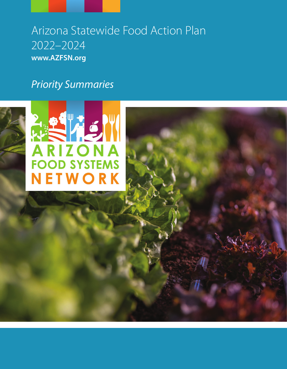# Arizona Statewide Food Action Plan 2022–2024 **www.AZFSN.org**

# Priority Summaries

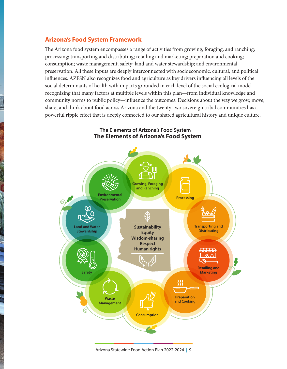## **Arizona's Food System Framework**

The Arizona food system encompasses a range of activities from growing, foraging, and ranching; processing; transporting and distributing; retailing and marketing; preparation and cooking; consumption; waste management; safety; land and water stewardship; and environmental preservation. All these inputs are deeply interconnected with socioeconomic, cultural, and political influences. AZFSN also recognizes food and agriculture as key drivers influencing all levels of the social determinants of health with impacts grounded in each level of the social ecological model recognizing that many factors at multiple levels within this plan—from individual knowledge and community norms to public policy—influence the outcomes. Decisions about the way we grow, move, share, and think about food across Arizona and the twenty-two sovereign tribal communities has a powerful ripple effect that is deeply connected to our shared agricultural history and unique culture.



**The Elements of Arizona's Food System The Elements of Arizona's Food System**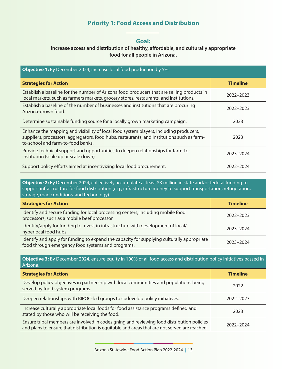# **Priority 1: Food Access and Distribution**

#### **Goal:**

## **Increase access and distribution of healthy, affordable, and culturally appropriate food for all people in Arizona.**

| <b>Objective 1:</b> By December 2024, increase local food production by 5%.                                                                                                                                              |                 |
|--------------------------------------------------------------------------------------------------------------------------------------------------------------------------------------------------------------------------|-----------------|
| <b>Strategies for Action</b>                                                                                                                                                                                             | <b>Timeline</b> |
| Establish a baseline for the number of Arizona food producers that are selling products in<br>local markets, such as farmers markets, grocery stores, restaurants, and institutions.                                     | 2022-2023       |
| Establish a baseline of the number of businesses and institutions that are procuring<br>Arizona-grown food.                                                                                                              | 2022-2023       |
| Determine sustainable funding source for a locally grown marketing campaign.                                                                                                                                             | 2023            |
| Enhance the mapping and visibility of local food system players, including producers,<br>suppliers, processors, aggregators, food hubs, restaurants, and institutions such as farm-<br>to-school and farm-to-food banks. | 2023            |
| Provide technical support and opportunities to deepen relationships for farm-to-<br>institution (scale up or scale down).                                                                                                | 2023-2024       |
| Support policy efforts aimed at incentivizing local food procurement.                                                                                                                                                    | 2022-2024       |

**Objective 2:** By December 2024, collectively accumulate at least \$3 million in state and/or federal funding to support infrastructure for food distribution (e.g., infrastructure money to support transportation, refrigeration, storage, road conditions, and technology).

| <b>Strategies for Action</b>                                                                                                                    | <b>Timeline</b> |
|-------------------------------------------------------------------------------------------------------------------------------------------------|-----------------|
| Identify and secure funding for local processing centers, including mobile food<br>processors, such as a mobile beef processor.                 | 2022-2023       |
| Identify/apply for funding to invest in infrastructure with development of local/<br>hyperlocal food hubs.                                      | 2023-2024       |
| Identify and apply for funding to expand the capacity for supplying culturally appropriate<br>food through emergency food systems and programs. | 2023-2024       |

**Objective 3:** By December 2024, ensure equity in 100% of all food access and distribution policy initiatives passed in Arizona.

| <b>Strategies for Action</b>                                                                                                                                                                | <b>Timeline</b> |
|---------------------------------------------------------------------------------------------------------------------------------------------------------------------------------------------|-----------------|
| Develop policy objectives in partnership with local communities and populations being<br>served by food system programs.                                                                    | 2022            |
| Deepen relationships with BIPOC-led groups to codevelop policy initiatives.                                                                                                                 | 2022-2023       |
| Increase culturally appropriate local foods for food assistance programs defined and<br>stated by those who will be receiving the food.                                                     | 2023            |
| Ensure tribal members are involved in codesigning and reviewing food distribution policies<br>and plans to ensure that distribution is equitable and areas that are not served are reached. | 2022-2024       |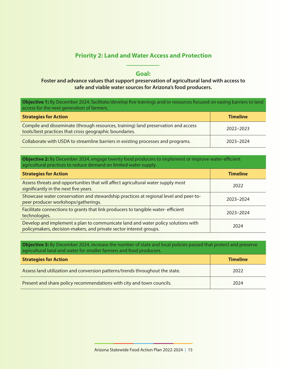## **Priority 2: Land and Water Access and Protection**

### **Goal:**

## **Foster and advance values that support preservation of agricultural land with access to safe and viable water sources for Arizona's food producers.**

**Objective 1:** By December 2024, facilitate/develop five trainings and/or resources focused on easing barriers to land access for the next generation of farmers.

| <b>Strategies for Action</b>                                                                                                                 | <b>Timeline</b> |
|----------------------------------------------------------------------------------------------------------------------------------------------|-----------------|
| Compile and disseminate (through resources, training) land preservation and access<br>tools/best practices that cross geographic boundaries. | 2022-2023       |
| Collaborate with USDA to streamline barriers in existing processes and programs.                                                             | 2023-2024       |

| <b>Objective 2:</b> By December 2024, engage twenty food producers to implement or improve water-efficient<br>agricultural practices to reduce demand on limited water supply. |                 |
|--------------------------------------------------------------------------------------------------------------------------------------------------------------------------------|-----------------|
| <b>Strategies for Action</b>                                                                                                                                                   | <b>Timeline</b> |
| Assess threats and opportunities that will affect agricultural water supply most<br>significantly in the next five years.                                                      | 2022            |
| Showcase water conservation and stewardship practices at regional level and peer-to-<br>peer producer workshops/gatherings.                                                    | 2023-2024       |
| Facilitate connections to grants that link producers to tangible water-efficient<br>technologies.                                                                              | 2023-2024       |
| Develop and implement a plan to communicate land and water policy solutions with<br>policymakers, decision-makers, and private sector interest groups.                         | 2024            |

**Objective 3:** By December 2024, increase the number of state and local policies passed that protect and preserve agricultural land and water for smaller farmers and food producers.

| <b>Strategies for Action</b>                                                 | <b>Timeline</b> |
|------------------------------------------------------------------------------|-----------------|
| Assess land utilization and conversion patterns/trends throughout the state. | 2022            |
| Present and share policy recommendations with city and town councils.        | 2024            |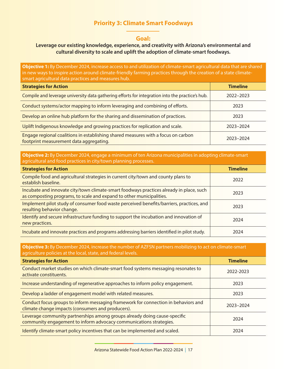# **Priority 3: Climate Smart Foodways**

#### **Goal:**

### **Leverage our existing knowledge, experience, and creativity with Arizona's environmental and cultural diversity to scale and uplift the adoption of climate-smart foodways.**

**Objective 1:** By December 2024, increase access to and utilization of climate-smart agricultural data that are shared in new ways to inspire action around climate-friendly farming practices through the creation of a state climatesmart agricultural data practices and measures hub.

| <b>Strategies for Action</b>                                                                                                 | <b>Timeline</b> |
|------------------------------------------------------------------------------------------------------------------------------|-----------------|
| Compile and leverage university data gathering efforts for integration into the practice's hub.                              | 2022-2023       |
| Conduct systems/actor mapping to inform leveraging and combining of efforts.                                                 | 2023            |
| Develop an online hub platform for the sharing and dissemination of practices.                                               | 2023            |
| Uplift Indigenous knowledge and growing practices for replication and scale.                                                 | 2023-2024       |
| Engage regional coalitions in establishing shared measures with a focus on carbon<br>footprint measurement data aggregating. | 2023-2024       |

#### **Objective 2:** By December 2024, engage a minimum of ten Arizona municipalities in adopting climate-smart agricultural and food practices in city/town planning processes.

| <b>Strategies for Action</b>                                                                                                                                    | <b>Timeline</b> |
|-----------------------------------------------------------------------------------------------------------------------------------------------------------------|-----------------|
| Compile food and agricultural strategies in current city/town and county plans to<br>establish baseline.                                                        | 2022            |
| Incubate and innovate city/town climate-smart foodways practices already in place, such<br>as composting programs, to scale and expand to other municipalities. | 2023            |
| Implement pilot study of consumer food waste perceived benefits/barriers, practices, and<br>resulting behavior change.                                          | 2023            |
| Identify and secure infrastructure funding to support the incubation and innovation of<br>new practices.                                                        | 2024            |
| Incubate and innovate practices and programs addressing barriers identified in pilot study.                                                                     | 2024            |

#### **Objective 3:** By December 2024, increase the number of AZFSN partners mobilizing to act on climate-smart agriculture policies at the local, state, and federal levels.

| <b>Strategies for Action</b>                                                                                                                    | <b>Timeline</b> |
|-------------------------------------------------------------------------------------------------------------------------------------------------|-----------------|
| Conduct market studies on which climate-smart food systems messaging resonates to<br>activate constituents.                                     | 2022-2023       |
| Increase understanding of regenerative approaches to inform policy engagement.                                                                  | 2023            |
| Develop a ladder of engagement model with related measures.                                                                                     | 2023            |
| Conduct focus groups to inform messaging framework for connection in behaviors and<br>climate change impacts (consumers and producers).         | 2023-2024       |
| Leverage community partnerships among groups already doing cause-specific<br>community engagement to inform advocacy communications strategies. | 2024            |
| Identify climate-smart policy incentives that can be implemented and scaled.                                                                    | 2024            |